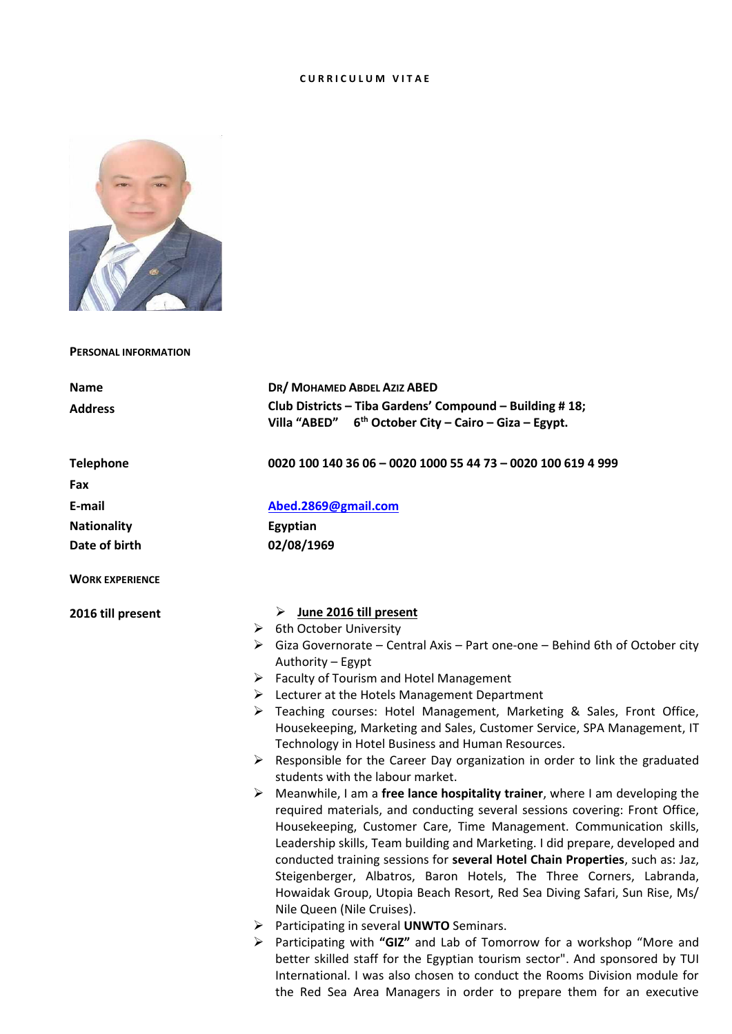# **C U R R I C U L U M V I T A E**



**PERSONAL INFORMATION**

| <b>Name</b>            | DR/ MOHAMED ABDEL AZIZ ABED                                                                                                                              |  |  |
|------------------------|----------------------------------------------------------------------------------------------------------------------------------------------------------|--|--|
| <b>Address</b>         | Club Districts - Tiba Gardens' Compound - Building # 18;                                                                                                 |  |  |
|                        | Villa "ABED" $6th$ October City – Cairo – Giza – Egypt.                                                                                                  |  |  |
|                        |                                                                                                                                                          |  |  |
| <b>Telephone</b>       | 0020 100 140 36 06 - 0020 1000 55 44 73 - 0020 100 619 4 999                                                                                             |  |  |
| Fax                    |                                                                                                                                                          |  |  |
| E-mail                 | Abed.2869@gmail.com                                                                                                                                      |  |  |
| <b>Nationality</b>     | Egyptian                                                                                                                                                 |  |  |
| Date of birth          | 02/08/1969                                                                                                                                               |  |  |
|                        |                                                                                                                                                          |  |  |
| <b>WORK EXPERIENCE</b> |                                                                                                                                                          |  |  |
|                        |                                                                                                                                                          |  |  |
| 2016 till present      | $\triangleright$ June 2016 till present                                                                                                                  |  |  |
|                        | $\triangleright$ 6th October University<br>$\triangleright$ Giza Governorate – Central Axis – Part one-one – Behind 6th of October city                  |  |  |
|                        | Authority - Egypt                                                                                                                                        |  |  |
|                        | $\triangleright$ Faculty of Tourism and Hotel Management                                                                                                 |  |  |
|                        | $\triangleright$ Lecturer at the Hotels Management Department                                                                                            |  |  |
|                        | > Teaching courses: Hotel Management, Marketing & Sales, Front Office,                                                                                   |  |  |
|                        | Housekeeping, Marketing and Sales, Customer Service, SPA Management, IT                                                                                  |  |  |
|                        | Technology in Hotel Business and Human Resources.                                                                                                        |  |  |
|                        | $\triangleright$ Responsible for the Career Day organization in order to link the graduated                                                              |  |  |
|                        | students with the labour market.                                                                                                                         |  |  |
|                        | $\triangleright$ Meanwhile, I am a free lance hospitality trainer, where I am developing the                                                             |  |  |
|                        | required materials, and conducting several sessions covering: Front Office,                                                                              |  |  |
|                        | Housekeeping, Customer Care, Time Management. Communication skills,                                                                                      |  |  |
|                        | Leadership skills, Team building and Marketing. I did prepare, developed and                                                                             |  |  |
|                        | conducted training sessions for several Hotel Chain Properties, such as: Jaz,                                                                            |  |  |
|                        | Steigenberger, Albatros, Baron Hotels, The Three Corners, Labranda,                                                                                      |  |  |
|                        | Howaidak Group, Utopia Beach Resort, Red Sea Diving Safari, Sun Rise, Ms/                                                                                |  |  |
|                        | Nile Queen (Nile Cruises).                                                                                                                               |  |  |
|                        | > Participating in several UNWTO Seminars.                                                                                                               |  |  |
|                        | > Participating with "GIZ" and Lab of Tomorrow for a workshop "More and                                                                                  |  |  |
|                        | better skilled staff for the Egyptian tourism sector". And sponsored by TUI<br>International. I was also chosen to conduct the Rooms Division module for |  |  |
|                        |                                                                                                                                                          |  |  |
|                        | the Red Sea Area Managers in order to prepare them for an executive                                                                                      |  |  |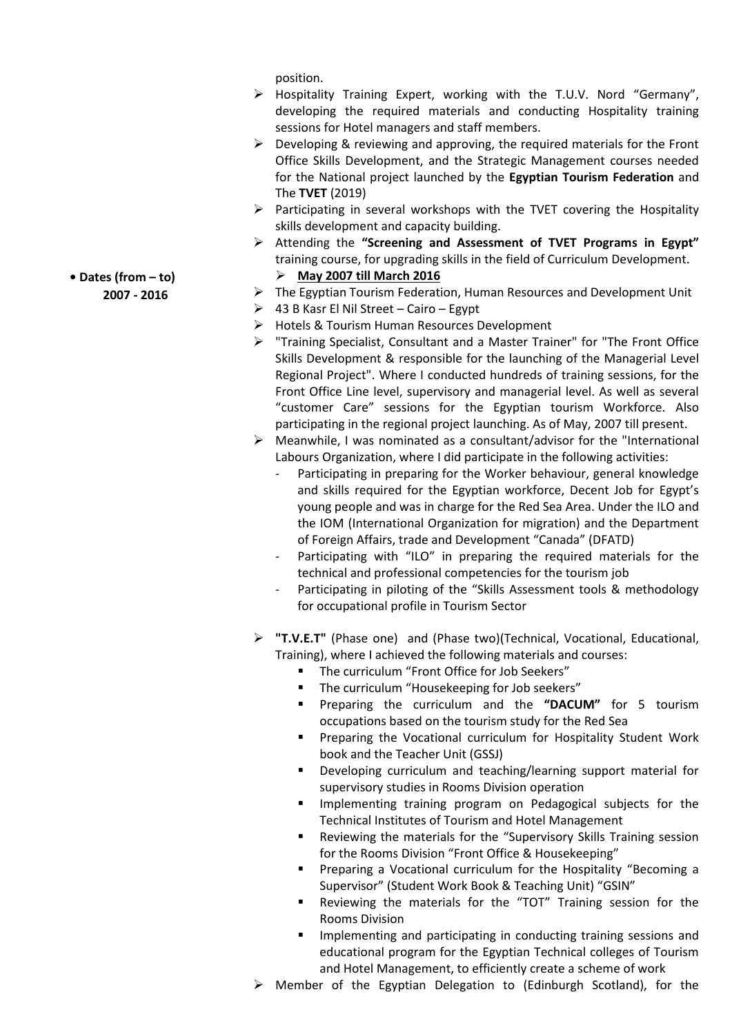position.

- Hospitality Training Expert, working with the T.U.V. Nord "Germany", developing the required materials and conducting Hospitality training sessions for Hotel managers and staff members.
- $\triangleright$  Developing & reviewing and approving, the required materials for the Front Office Skills Development, and the Strategic Management courses needed for the National project launched by the **Egyptian Tourism Federation** and The **TVET** (2019)
- $\triangleright$  Participating in several workshops with the TVET covering the Hospitality skills development and capacity building.
- Attending the **"Screening and Assessment of TVET Programs in Egypt"** training course, for upgrading skills in the field of Curriculum Development.

# **May 2007 till March 2016**

- $\triangleright$  The Egyptian Tourism Federation, Human Resources and Development Unit
- $\geqslant$  43 B Kasr El Nil Street Cairo Egypt
- $\triangleright$  Hotels & Tourism Human Resources Development
- "Training Specialist, Consultant and a Master Trainer" for "The Front Office Skills Development & responsible for the launching of the Managerial Level Regional Project". Where I conducted hundreds of training sessions, for the Front Office Line level, supervisory and managerial level. As well as several "customer Care" sessions for the Egyptian tourism Workforce. Also participating in the regional project launching. As of May, 2007 till present.
- $\triangleright$  Meanwhile, I was nominated as a consultant/advisor for the "International" Labours Organization, where I did participate in the following activities:
	- Participating in preparing for the Worker behaviour, general knowledge and skills required for the Egyptian workforce, Decent Job for Egypt's young people and was in charge for the Red Sea Area. Under the ILO and the IOM (International Organization for migration) and the Department of Foreign Affairs, trade and Development "Canada" (DFATD)
	- Participating with "ILO" in preparing the required materials for the technical and professional competencies for the tourism job
	- Participating in piloting of the "Skills Assessment tools & methodology for occupational profile in Tourism Sector
- **"T.V.E.T"** (Phase one) and (Phase two)(Technical, Vocational, Educational, Training), where I achieved the following materials and courses:
	- The curriculum "Front Office for Job Seekers"
	- The curriculum "Housekeeping for Job seekers"
	- Preparing the curriculum and the **"DACUM"** for 5 tourism occupations based on the tourism study for the Red Sea
	- **Preparing the Vocational curriculum for Hospitality Student Work** book and the Teacher Unit (GSSJ)
	- **Developing curriculum and teaching/learning support material for** supervisory studies in Rooms Division operation
	- **IMPLEMENT INGLES** Implementing training program on Pedagogical subjects for the Technical Institutes of Tourism and Hotel Management
	- **E** Reviewing the materials for the "Supervisory Skills Training session for the Rooms Division "Front Office & Housekeeping"
	- Preparing a Vocational curriculum for the Hospitality "Becoming a Supervisor" (Student Work Book & Teaching Unit) "GSIN"
	- Reviewing the materials for the "TOT" Training session for the Rooms Division
	- Implementing and participating in conducting training sessions and educational program for the Egyptian Technical colleges of Tourism and Hotel Management, to efficiently create a scheme of work
- Member of the Egyptian Delegation to (Edinburgh Scotland), for the

**• Dates (from – to) 2007 - 2016**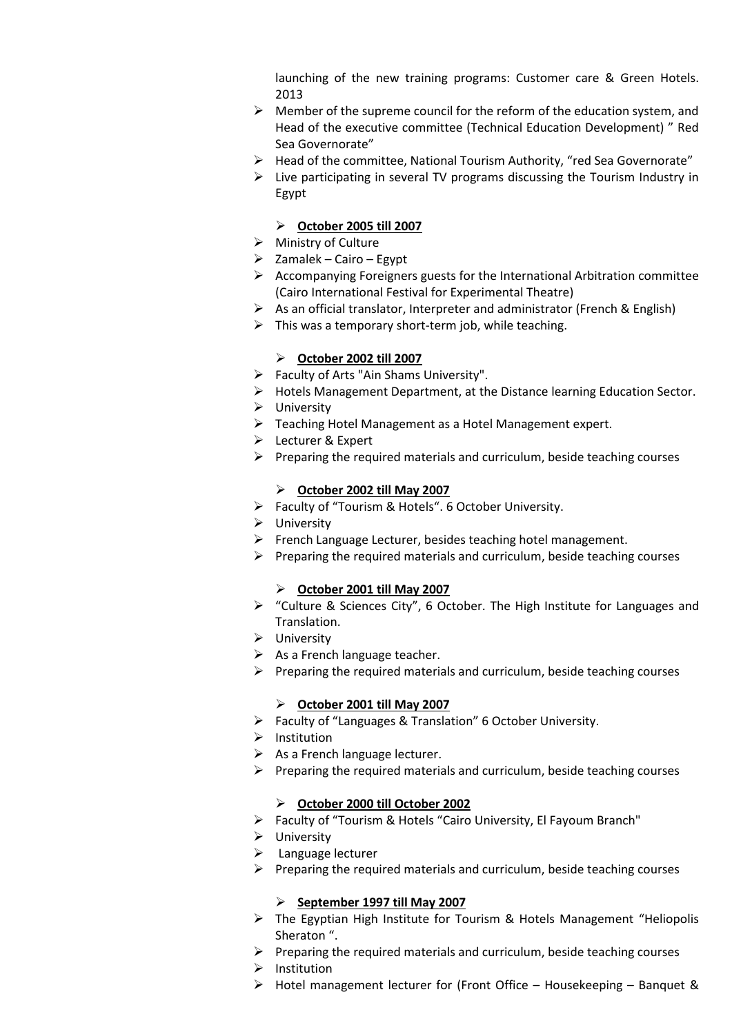launching of the new training programs: Customer care & Green Hotels. 2013

- $\triangleright$  Member of the supreme council for the reform of the education system, and Head of the executive committee (Technical Education Development) " Red Sea Governorate"
- Head of the committee, National Tourism Authority, "red Sea Governorate"
- $\triangleright$  Live participating in several TV programs discussing the Tourism Industry in Egypt

## **October 2005 till 2007**

- $\triangleright$  Ministry of Culture
- $\triangleright$  Zamalek Cairo Egypt
- $\triangleright$  Accompanying Foreigners guests for the International Arbitration committee (Cairo International Festival for Experimental Theatre)
- $\triangleright$  As an official translator, Interpreter and administrator (French & English)
- $\triangleright$  This was a temporary short-term job, while teaching.

# **October 2002 till 2007**

- $\triangleright$  Faculty of Arts "Ain Shams University".
- Hotels Management Department, at the Distance learning Education Sector.
- $\triangleright$  University
- $\triangleright$  Teaching Hotel Management as a Hotel Management expert.
- Lecturer & Expert
- $\triangleright$  Preparing the required materials and curriculum, beside teaching courses

# **October 2002 till May 2007**

- Faculty of "Tourism & Hotels". 6 October University.
- $\triangleright$  University
- $\triangleright$  French Language Lecturer, besides teaching hotel management.
- $\triangleright$  Preparing the required materials and curriculum, beside teaching courses

#### **October 2001 till May 2007**

- "Culture & Sciences City", 6 October. The High Institute for Languages and Translation.
- $\triangleright$  University
- $\triangleright$  As a French language teacher.
- $\triangleright$  Preparing the required materials and curriculum, beside teaching courses

#### **October 2001 till May 2007**

- Faculty of "Languages & Translation" 6 October University.
- $\triangleright$  Institution
- $\triangleright$  As a French language lecturer.
- $\triangleright$  Preparing the required materials and curriculum, beside teaching courses

#### **October 2000 till October 2002**

- Faculty of "Tourism & Hotels "Cairo University, El Fayoum Branch"
- $\triangleright$  University
- $\triangleright$  Language lecturer
- $\triangleright$  Preparing the required materials and curriculum, beside teaching courses

# **September 1997 till May 2007**

- The Egyptian High Institute for Tourism & Hotels Management "Heliopolis Sheraton ".
- $\triangleright$  Preparing the required materials and curriculum, beside teaching courses
- $\triangleright$  Institution
- $\triangleright$  Hotel management lecturer for (Front Office Housekeeping Banquet &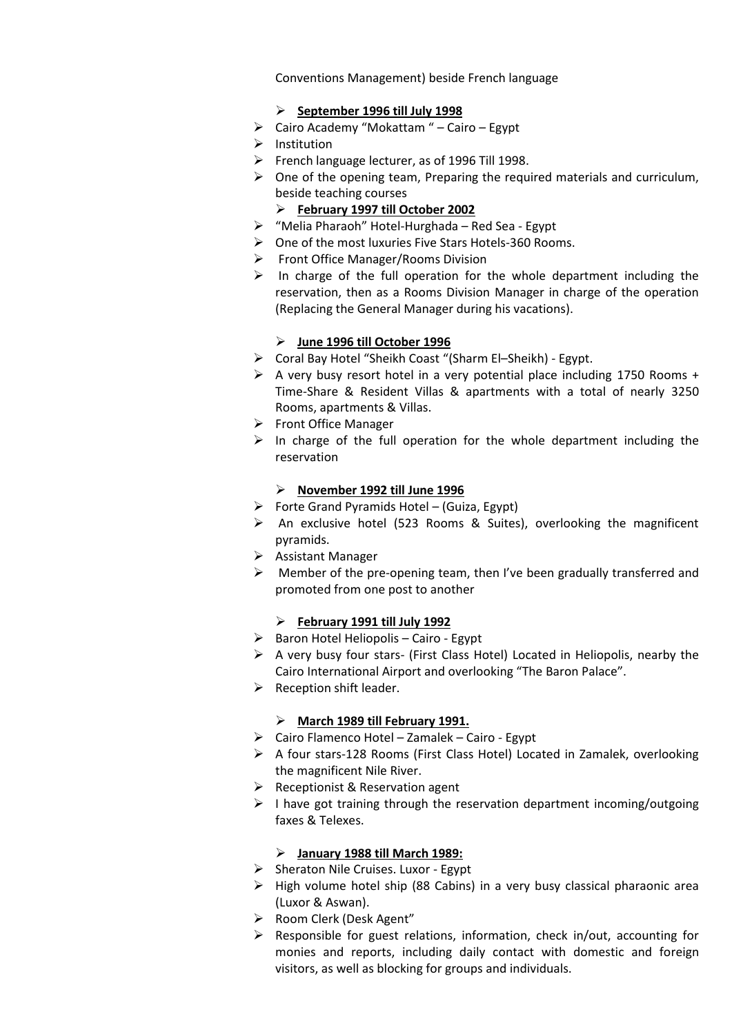Conventions Management) beside French language

# **September 1996 till July 1998**

- $\triangleright$  Cairo Academy "Mokattam " Cairo Egypt
- $\triangleright$  Institution
- $\triangleright$  French language lecturer, as of 1996 Till 1998.
- $\triangleright$  One of the opening team, Preparing the required materials and curriculum, beside teaching courses

# **February 1997 till October 2002**

- $\triangleright$  "Melia Pharaoh" Hotel-Hurghada Red Sea Egypt
- One of the most luxuries Five Stars Hotels-360 Rooms.
- $\triangleright$  Front Office Manager/Rooms Division
- $\triangleright$  In charge of the full operation for the whole department including the reservation, then as a Rooms Division Manager in charge of the operation (Replacing the General Manager during his vacations).

# **June 1996 till October 1996**

- Coral Bay Hotel "Sheikh Coast "(Sharm El–Sheikh) Egypt.
- $\triangleright$  A very busy resort hotel in a very potential place including 1750 Rooms + Time-Share & Resident Villas & apartments with a total of nearly 3250 Rooms, apartments & Villas.
- ▶ Front Office Manager
- $\triangleright$  In charge of the full operation for the whole department including the reservation

# **November 1992 till June 1996**

- $\triangleright$  Forte Grand Pyramids Hotel (Guiza, Egypt)
- $\triangleright$  An exclusive hotel (523 Rooms & Suites), overlooking the magnificent pyramids.
- $\triangleright$  Assistant Manager
- $\triangleright$  Member of the pre-opening team, then I've been gradually transferred and promoted from one post to another

# **February 1991 till July 1992**

- $\triangleright$  Baron Hotel Heliopolis Cairo Egypt
- $\triangleright$  A very busy four stars- (First Class Hotel) Located in Heliopolis, nearby the Cairo International Airport and overlooking "The Baron Palace".
- $\triangleright$  Reception shift leader.

#### **March 1989 till February 1991.**

- $\triangleright$  Cairo Flamenco Hotel Zamalek Cairo Egypt
- A four stars-128 Rooms (First Class Hotel) Located in Zamalek, overlooking the magnificent Nile River.
- $\triangleright$  Receptionist & Reservation agent
- $\triangleright$  I have got training through the reservation department incoming/outgoing faxes & Telexes.

# **January 1988 till March 1989:**

- $\triangleright$  Sheraton Nile Cruises. Luxor Egypt
- $\triangleright$  High volume hotel ship (88 Cabins) in a very busy classical pharaonic area (Luxor & Aswan).
- Room Clerk (Desk Agent"
- $\triangleright$  Responsible for guest relations, information, check in/out, accounting for monies and reports, including daily contact with domestic and foreign visitors, as well as blocking for groups and individuals.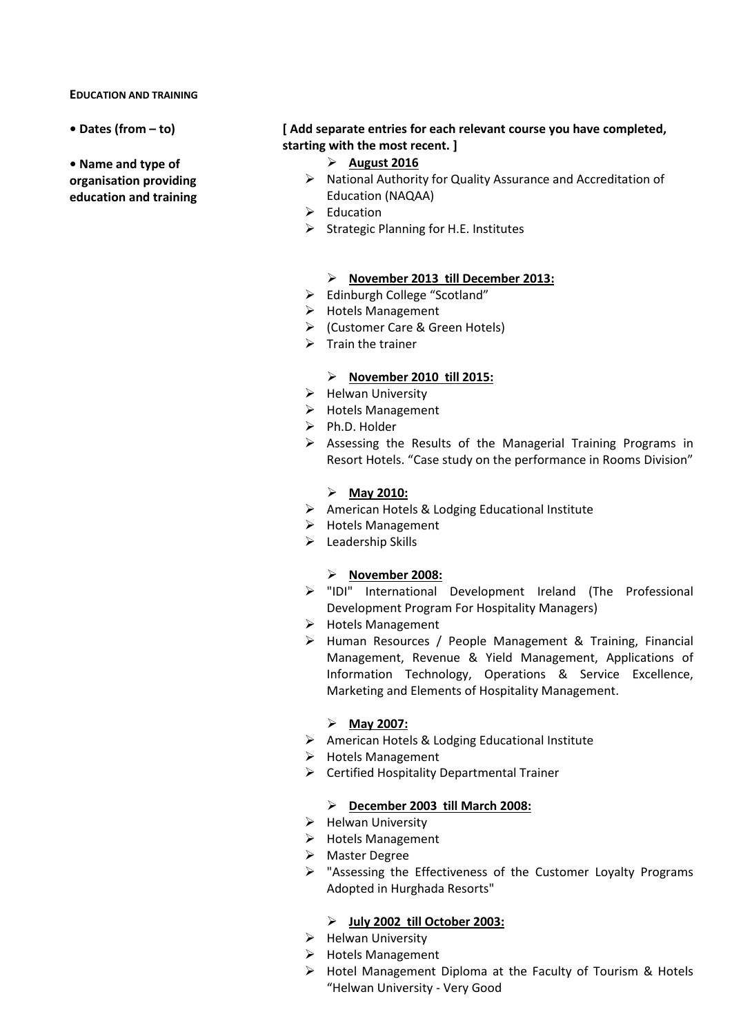#### **EDUCATION AND TRAINING**

- 
- **Name and type of organisation providing education and training**

# **• Dates (from – to) [ Add separate entries for each relevant course you have completed, starting with the most recent. ]**

- **August 2016**
- $\triangleright$  National Authority for Quality Assurance and Accreditation of Education (NAQAA)
- $\triangleright$  Education
- $\triangleright$  Strategic Planning for H.E. Institutes

# **November 2013 till December 2013:**

- > Edinburgh College "Scotland"
- $\triangleright$  Hotels Management
- (Customer Care & Green Hotels)
- $\triangleright$  Train the trainer

# **November 2010 till 2015:**

- $\triangleright$  Helwan University
- $\triangleright$  Hotels Management
- $\triangleright$  Ph.D. Holder
- $\triangleright$  Assessing the Results of the Managerial Training Programs in Resort Hotels. "Case study on the performance in Rooms Division"

#### **May 2010:**

- American Hotels & Lodging Educational Institute
- $\triangleright$  Hotels Management
- $\blacktriangleright$  Leadership Skills

#### **November 2008:**

- "IDI" International Development Ireland (The Professional Development Program For Hospitality Managers)
- > Hotels Management
- Human Resources / People Management & Training, Financial Management, Revenue & Yield Management, Applications of Information Technology, Operations & Service Excellence, Marketing and Elements of Hospitality Management.

# **May 2007:**

- American Hotels & Lodging Educational Institute
- $\triangleright$  Hotels Management
- $\triangleright$  Certified Hospitality Departmental Trainer

#### **December 2003 till March 2008:**

- $\triangleright$  Helwan University
- > Hotels Management
- > Master Degree
- $\triangleright$  "Assessing the Effectiveness of the Customer Loyalty Programs Adopted in Hurghada Resorts"

#### **July 2002 till October 2003:**

- $\triangleright$  Helwan University
- $\triangleright$  Hotels Management
- Hotel Management Diploma at the Faculty of Tourism & Hotels "Helwan University - Very Good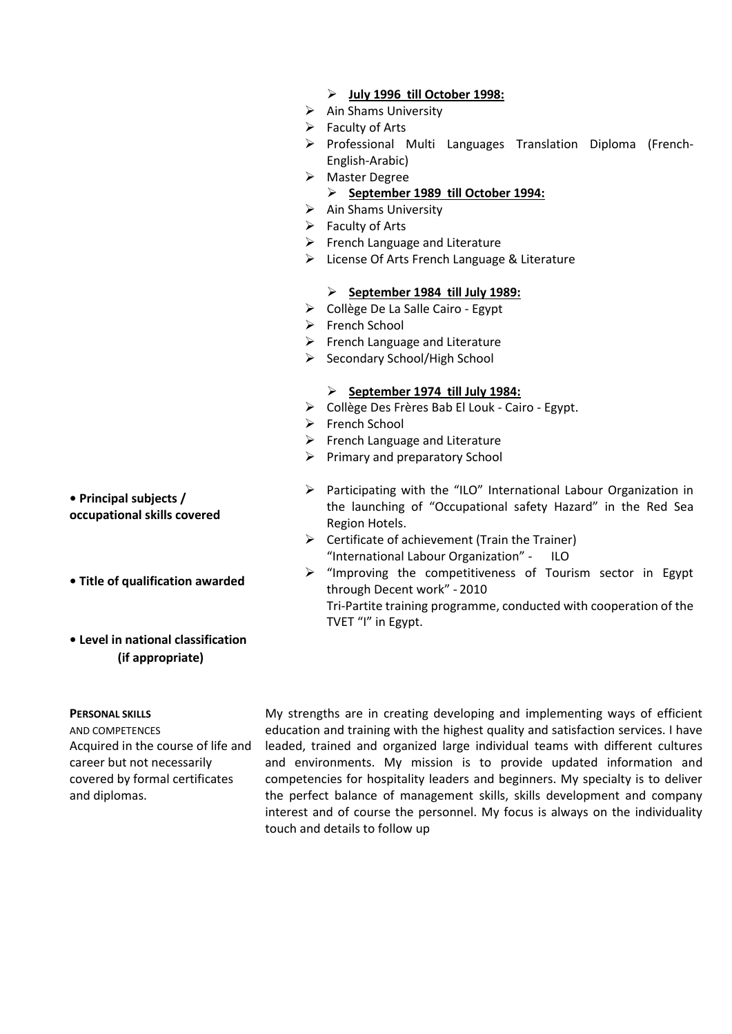- **July 1996 till October 1998:**
- $\triangleright$  Ain Shams University
- $\triangleright$  Faculty of Arts
- $\triangleright$  Professional Multi Languages Translation Diploma (French-English-Arabic)
- > Master Degree

#### **September 1989 till October 1994:**

- $\triangleright$  Ain Shams University
- $\triangleright$  Faculty of Arts
- $\triangleright$  French Language and Literature
- License Of Arts French Language & Literature

#### **September 1984 till July 1989:**

- Collège De La Salle Cairo Egypt
- ▶ French School
- $\triangleright$  French Language and Literature
- $\triangleright$  Secondary School/High School

#### **September 1974 till July 1984:**

- Collège Des Frères Bab El Louk Cairo Egypt.
- French School
- $\triangleright$  French Language and Literature
- $\triangleright$  Primary and preparatory School
- $\triangleright$  Participating with the "ILO" International Labour Organization in the launching of "Occupational safety Hazard" in the Red Sea Region Hotels.
- $\triangleright$  Certificate of achievement (Train the Trainer) "International Labour Organization" - ILO
- $\triangleright$  "Improving the competitiveness of Tourism sector in Egypt through Decent work" - 2010 Tri-Partite training programme, conducted with cooperation of the TVET "I" in Egypt.

**• Title of qualification awarded**

# **• Level in national classification (if appropriate)**

#### **PERSONAL SKILLS**

AND COMPETENCES Acquired in the course of life and career but not necessarily covered by formal certificates and diplomas.

My strengths are in creating developing and implementing ways of efficient education and training with the highest quality and satisfaction services. I have leaded, trained and organized large individual teams with different cultures and environments. My mission is to provide updated information and competencies for hospitality leaders and beginners. My specialty is to deliver the perfect balance of management skills, skills development and company interest and of course the personnel. My focus is always on the individuality touch and details to follow up

**• Principal subjects / occupational skills covered**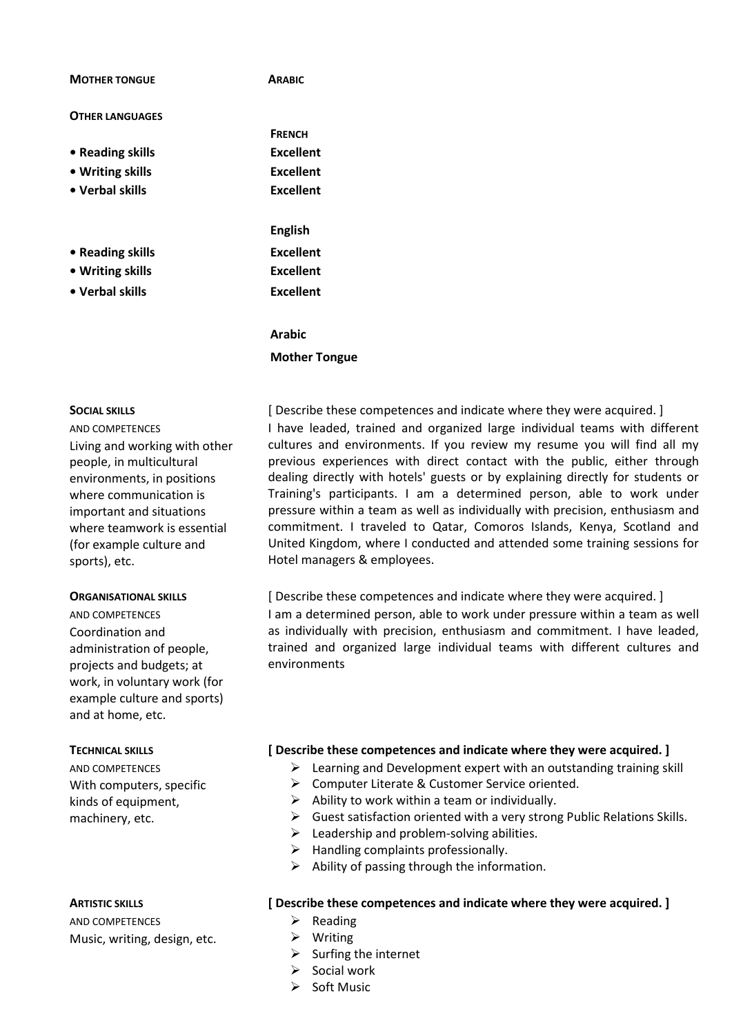| <b>MOTHER TONGUE</b>   | <b>ARABIC</b>  |
|------------------------|----------------|
| <b>OTHER LANGUAGES</b> |                |
|                        | <b>FRENCH</b>  |
| • Reading skills       | Excellent      |
| • Writing skills       | Excellent      |
| • Verbal skills        | Excellent      |
|                        | <b>English</b> |
| • Reading skills       | Excellent      |
| • Writing skills       | Excellent      |
| • Verbal skills        | Excellent      |
|                        | Arabic         |

# **Mother Tongue**

#### **SOCIAL SKILLS**

AND COMPETENCES Living and working with other people, in multicultural environments, in positions where communication is important and situations where teamwork is essential (for example culture and sports), etc.

#### **ORGANISATIONAL SKILLS**

AND COMPETENCES Coordination and administration of people, projects and budgets; at work, in voluntary work (for example culture and sports) and at home, etc.

#### **TECHNICAL SKILLS**

AND COMPETENCES With computers, specific kinds of equipment, machinery, etc.

#### **ARTISTIC SKILLS**

AND COMPETENCES Music, writing, design, etc.

[ Describe these competences and indicate where they were acquired. ] I have leaded, trained and organized large individual teams with different cultures and environments. If you review my resume you will find all my previous experiences with direct contact with the public, either through dealing directly with hotels' guests or by explaining directly for students or Training's participants. I am a determined person, able to work under pressure within a team as well as individually with precision, enthusiasm and commitment. I traveled to Qatar, Comoros Islands, Kenya, Scotland and United Kingdom, where I conducted and attended some training sessions for Hotel managers & employees.

[ Describe these competences and indicate where they were acquired. ] I am a determined person, able to work under pressure within a team as well as individually with precision, enthusiasm and commitment. I have leaded, trained and organized large individual teams with different cultures and environments

#### **[ Describe these competences and indicate where they were acquired. ]**

- $\triangleright$  Learning and Development expert with an outstanding training skill
- Computer Literate & Customer Service oriented.
- $\triangleright$  Ability to work within a team or individually.
- $\triangleright$  Guest satisfaction oriented with a very strong Public Relations Skills.
- $\triangleright$  Leadership and problem-solving abilities.
- $\triangleright$  Handling complaints professionally.
- $\triangleright$  Ability of passing through the information.

#### **[ Describe these competences and indicate where they were acquired. ]**

- $\triangleright$  Reading
- Writing
- $\triangleright$  Surfing the internet
- Social work
- Soft Music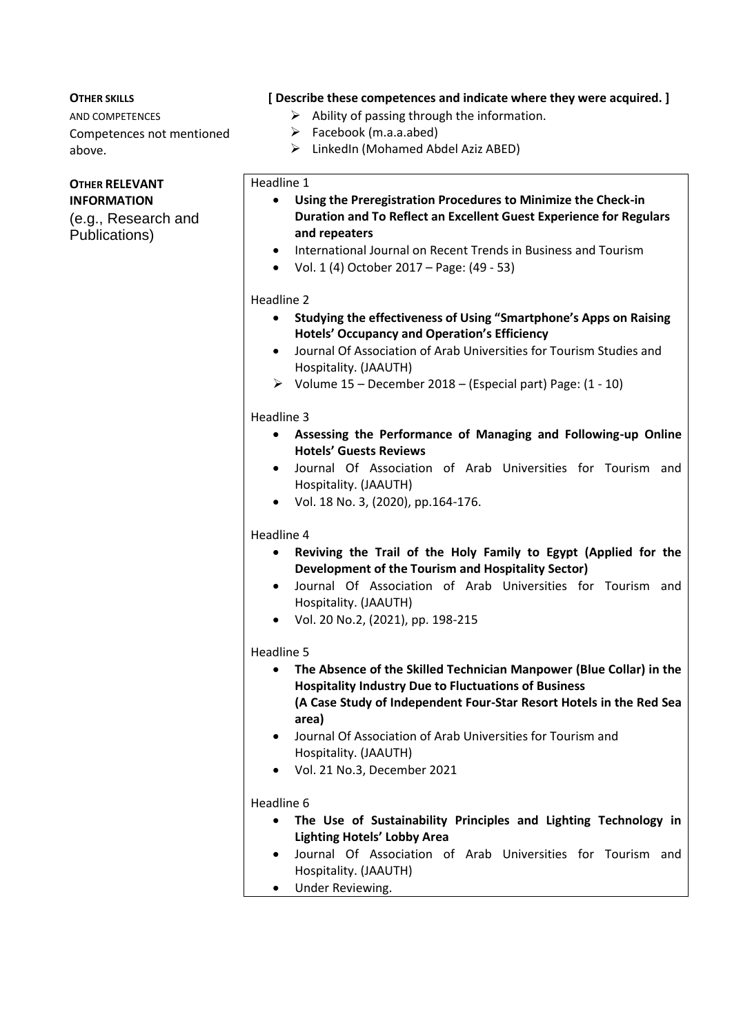# **OTHER SKILLS**

AND COMPETENCES Competences not mentioned above.

#### **OTHER RELEVANT INFORMATION**

(e.g., Research and Publications)

# **[ Describe these competences and indicate where they were acquired. ]**

- $\triangleright$  Ability of passing through the information.
- $\triangleright$  Facebook (m.a.a.abed)
- $\triangleright$  LinkedIn (Mohamed Abdel Aziz ABED)

#### Headline 1

- **Using the Preregistration Procedures to Minimize the Check-in Duration and To Reflect an Excellent Guest Experience for Regulars and repeaters**
- International Journal on Recent Trends in Business and Tourism
- Vol. 1 (4) October 2017 Page: (49 53)

#### Headline 2

- **Studying the effectiveness of Using "Smartphone's Apps on Raising Hotels' Occupancy and Operation's Efficiency**
- Journal Of Association of Arab Universities for Tourism Studies and Hospitality. (JAAUTH)
- $\triangleright$  Volume 15 December 2018 (Especial part) Page: (1 10)

#### Headline 3

- **Assessing the Performance of Managing and Following-up Online Hotels' Guests Reviews**
- Journal Of Association of Arab Universities for Tourism and Hospitality. (JAAUTH)
- Vol. 18 No. 3, (2020), pp.164-176.

#### Headline 4

- **Reviving the Trail of the Holy Family to Egypt (Applied for the Development of the Tourism and Hospitality Sector)**
- Journal Of Association of Arab Universities for Tourism and Hospitality. (JAAUTH)
- Vol. 20 No.2, (2021), pp. 198-215

#### Headline 5

- **The Absence of the Skilled Technician Manpower (Blue Collar) in the Hospitality Industry Due to Fluctuations of Business (A Case Study of Independent Four-Star Resort Hotels in the Red Sea area)**
- Journal Of Association of Arab Universities for Tourism and Hospitality. (JAAUTH)
- Vol. 21 No.3, December 2021

#### Headline 6

- **The Use of Sustainability Principles and Lighting Technology in Lighting Hotels' Lobby Area**
- Journal Of Association of Arab Universities for Tourism and Hospitality. (JAAUTH)
- Under Reviewing.